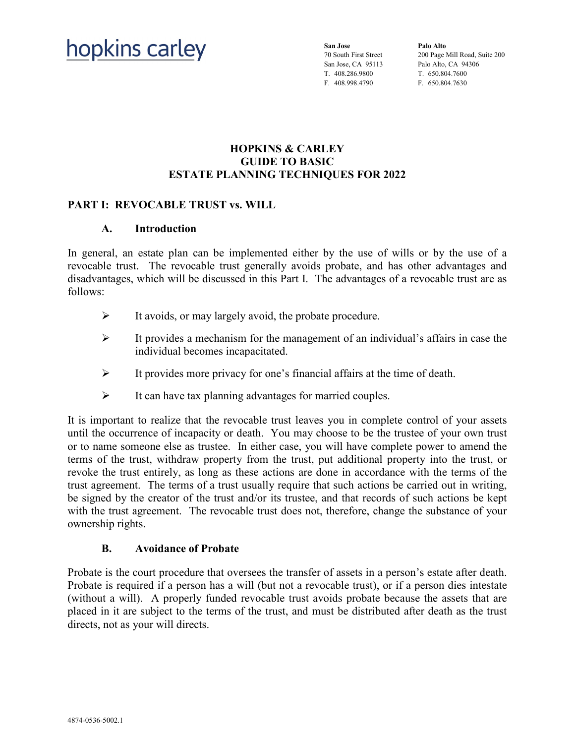# hopkins carley

**San Jose** 70 South First Street San Jose, CA 95113 T. 408.286.9800 F. 408.998.4790

**Palo Alto** 200 Page Mill Road, Suite 200 Palo Alto, CA 94306 T. 650.804.7600 F. 650.804.7630

## **HOPKINS & CARLEY GUIDE TO BASIC ESTATE PLANNING TECHNIQUES FOR 2022**

## **PART I: REVOCABLE TRUST vs. WILL**

#### **A. Introduction**

In general, an estate plan can be implemented either by the use of wills or by the use of a revocable trust. The revocable trust generally avoids probate, and has other advantages and disadvantages, which will be discussed in this Part I. The advantages of a revocable trust are as follows:

- $\triangleright$  It avoids, or may largely avoid, the probate procedure.
- $\triangleright$  It provides a mechanism for the management of an individual's affairs in case the individual becomes incapacitated.
- $\triangleright$  It provides more privacy for one's financial affairs at the time of death.
- $\triangleright$  It can have tax planning advantages for married couples.

It is important to realize that the revocable trust leaves you in complete control of your assets until the occurrence of incapacity or death. You may choose to be the trustee of your own trust or to name someone else as trustee. In either case, you will have complete power to amend the terms of the trust, withdraw property from the trust, put additional property into the trust, or revoke the trust entirely, as long as these actions are done in accordance with the terms of the trust agreement. The terms of a trust usually require that such actions be carried out in writing, be signed by the creator of the trust and/or its trustee, and that records of such actions be kept with the trust agreement. The revocable trust does not, therefore, change the substance of your ownership rights.

#### **B. Avoidance of Probate**

Probate is the court procedure that oversees the transfer of assets in a person's estate after death. Probate is required if a person has a will (but not a revocable trust), or if a person dies intestate (without a will). A properly funded revocable trust avoids probate because the assets that are placed in it are subject to the terms of the trust, and must be distributed after death as the trust directs, not as your will directs.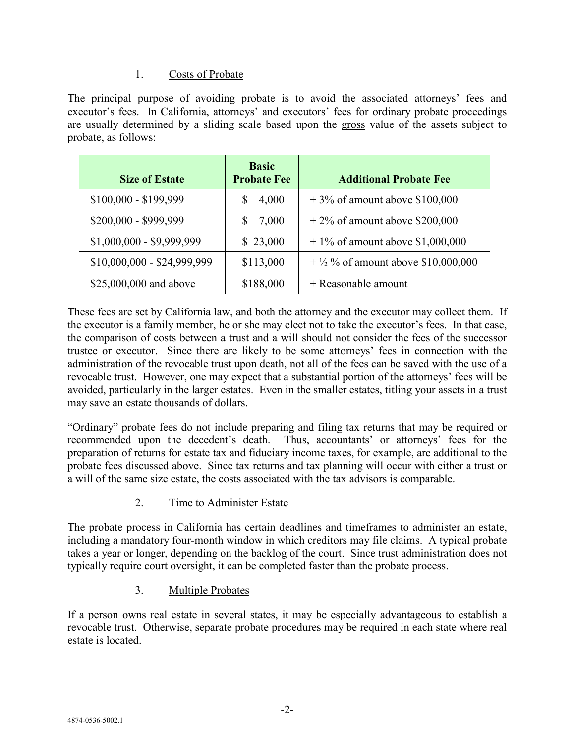## 1. Costs of Probate

The principal purpose of avoiding probate is to avoid the associated attorneys' fees and executor's fees. In California, attorneys' and executors' fees for ordinary probate proceedings are usually determined by a sliding scale based upon the gross value of the assets subject to probate, as follows:

| <b>Size of Estate</b>       | <b>Basic</b><br><b>Probate Fee</b> | <b>Additional Probate Fee</b>        |
|-----------------------------|------------------------------------|--------------------------------------|
| $$100,000 - $199,999$       | 4,000                              | $+3\%$ of amount above \$100,000     |
| \$200,000 - \$999,999       | 7,000                              | $+2\%$ of amount above \$200,000     |
| $$1,000,000 - $9,999,999$   | \$23,000                           | $+1\%$ of amount above \$1,000,000   |
| $$10,000,000 - $24,999,999$ | \$113,000                          | $+$ ½ % of amount above \$10,000,000 |
| \$25,000,000 and above      | \$188,000                          | $+$ Reasonable amount                |

These fees are set by California law, and both the attorney and the executor may collect them. If the executor is a family member, he or she may elect not to take the executor's fees. In that case, the comparison of costs between a trust and a will should not consider the fees of the successor trustee or executor. Since there are likely to be some attorneys' fees in connection with the administration of the revocable trust upon death, not all of the fees can be saved with the use of a revocable trust. However, one may expect that a substantial portion of the attorneys' fees will be avoided, particularly in the larger estates. Even in the smaller estates, titling your assets in a trust may save an estate thousands of dollars.

"Ordinary" probate fees do not include preparing and filing tax returns that may be required or recommended upon the decedent's death. Thus, accountants' or attorneys' fees for the preparation of returns for estate tax and fiduciary income taxes, for example, are additional to the probate fees discussed above. Since tax returns and tax planning will occur with either a trust or a will of the same size estate, the costs associated with the tax advisors is comparable.

## 2. Time to Administer Estate

The probate process in California has certain deadlines and timeframes to administer an estate, including a mandatory four-month window in which creditors may file claims. A typical probate takes a year or longer, depending on the backlog of the court. Since trust administration does not typically require court oversight, it can be completed faster than the probate process.

## 3. Multiple Probates

If a person owns real estate in several states, it may be especially advantageous to establish a revocable trust. Otherwise, separate probate procedures may be required in each state where real estate is located.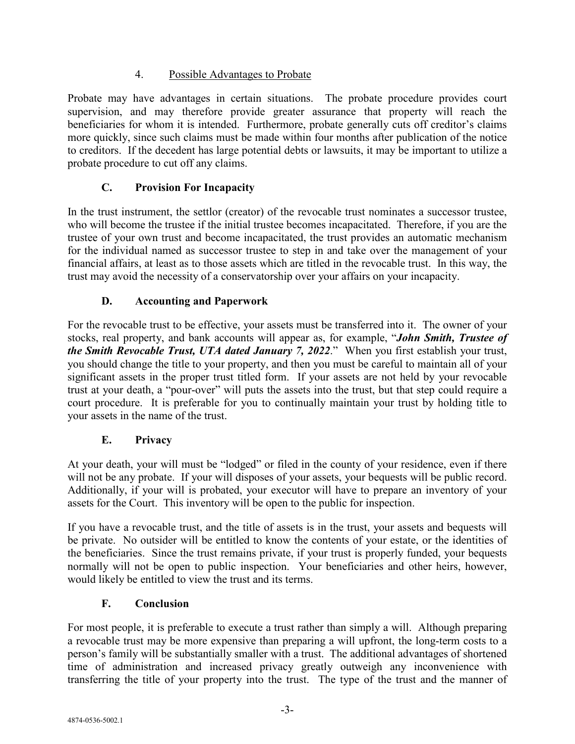## 4. Possible Advantages to Probate

Probate may have advantages in certain situations. The probate procedure provides court supervision, and may therefore provide greater assurance that property will reach the beneficiaries for whom it is intended. Furthermore, probate generally cuts off creditor's claims more quickly, since such claims must be made within four months after publication of the notice to creditors. If the decedent has large potential debts or lawsuits, it may be important to utilize a probate procedure to cut off any claims.

# **C. Provision For Incapacity**

In the trust instrument, the settlor (creator) of the revocable trust nominates a successor trustee, who will become the trustee if the initial trustee becomes incapacitated. Therefore, if you are the trustee of your own trust and become incapacitated, the trust provides an automatic mechanism for the individual named as successor trustee to step in and take over the management of your financial affairs, at least as to those assets which are titled in the revocable trust. In this way, the trust may avoid the necessity of a conservatorship over your affairs on your incapacity.

## **D. Accounting and Paperwork**

For the revocable trust to be effective, your assets must be transferred into it. The owner of your stocks, real property, and bank accounts will appear as, for example, "*John Smith, Trustee of the Smith Revocable Trust, UTA dated January 7, 2022*." When you first establish your trust, you should change the title to your property, and then you must be careful to maintain all of your significant assets in the proper trust titled form. If your assets are not held by your revocable trust at your death, a "pour-over" will puts the assets into the trust, but that step could require a court procedure. It is preferable for you to continually maintain your trust by holding title to your assets in the name of the trust.

## **E. Privacy**

At your death, your will must be "lodged" or filed in the county of your residence, even if there will not be any probate. If your will disposes of your assets, your bequests will be public record. Additionally, if your will is probated, your executor will have to prepare an inventory of your assets for the Court. This inventory will be open to the public for inspection.

If you have a revocable trust, and the title of assets is in the trust, your assets and bequests will be private. No outsider will be entitled to know the contents of your estate, or the identities of the beneficiaries. Since the trust remains private, if your trust is properly funded, your bequests normally will not be open to public inspection. Your beneficiaries and other heirs, however, would likely be entitled to view the trust and its terms.

## **F. Conclusion**

For most people, it is preferable to execute a trust rather than simply a will. Although preparing a revocable trust may be more expensive than preparing a will upfront, the long-term costs to a person's family will be substantially smaller with a trust. The additional advantages of shortened time of administration and increased privacy greatly outweigh any inconvenience with transferring the title of your property into the trust. The type of the trust and the manner of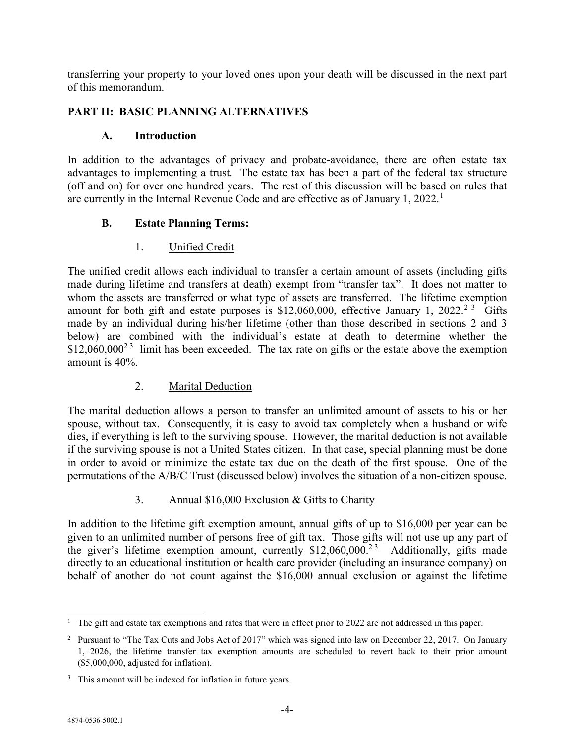transferring your property to your loved ones upon your death will be discussed in the next part of this memorandum.

## **PART II: BASIC PLANNING ALTERNATIVES**

#### **A. Introduction**

In addition to the advantages of privacy and probate-avoidance, there are often estate tax advantages to implementing a trust. The estate tax has been a part of the federal tax structure (off and on) for over one hundred years. The rest of this discussion will be based on rules that are currently in the Internal Revenue Code and are effective as of January [1](#page-3-0), 2022.<sup>1</sup>

## **B. Estate Planning Terms:**

## 1. Unified Credit

The unified credit allows each individual to transfer a certain amount of assets (including gifts made during lifetime and transfers at death) exempt from "transfer tax". It does not matter to whom the assets are transferred or what type of assets are transferred. The lifetime exemption amount for both gift and estate purposes is \$1[2](#page-3-1),060,000, effective January 1, 2022.<sup>2[3](#page-3-2)</sup> Gifts made by an individual during his/her lifetime (other than those described in sections 2 and 3 below) are combined with the individual's estate at death to determine whether the  $$12,060,000^{23}$  limit has been exceeded. The tax rate on gifts or the estate above the exemption amount is 40%.

## 2. Marital Deduction

The marital deduction allows a person to transfer an unlimited amount of assets to his or her spouse, without tax. Consequently, it is easy to avoid tax completely when a husband or wife dies, if everything is left to the surviving spouse. However, the marital deduction is not available if the surviving spouse is not a United States citizen. In that case, special planning must be done in order to avoid or minimize the estate tax due on the death of the first spouse. One of the permutations of the A/B/C Trust (discussed below) involves the situation of a non-citizen spouse.

## 3. Annual \$16,000 Exclusion & Gifts to Charity

In addition to the lifetime gift exemption amount, annual gifts of up to \$16,000 per year can be given to an unlimited number of persons free of gift tax. Those gifts will not use up any part of the giver's lifetime exemption amount, currently  $$12,060,000.<sup>23</sup>$  Additionally, gifts made directly to an educational institution or health care provider (including an insurance company) on behalf of another do not count against the \$16,000 annual exclusion or against the lifetime

<span id="page-3-0"></span><sup>&</sup>lt;sup>1</sup> The gift and estate tax exemptions and rates that were in effect prior to 2022 are not addressed in this paper.

<span id="page-3-1"></span><sup>&</sup>lt;sup>2</sup> Pursuant to "The Tax Cuts and Jobs Act of 2017" which was signed into law on December 22, 2017. On January 1, 2026, the lifetime transfer tax exemption amounts are scheduled to revert back to their prior amount (\$5,000,000, adjusted for inflation).

<span id="page-3-2"></span><sup>&</sup>lt;sup>3</sup> This amount will be indexed for inflation in future years.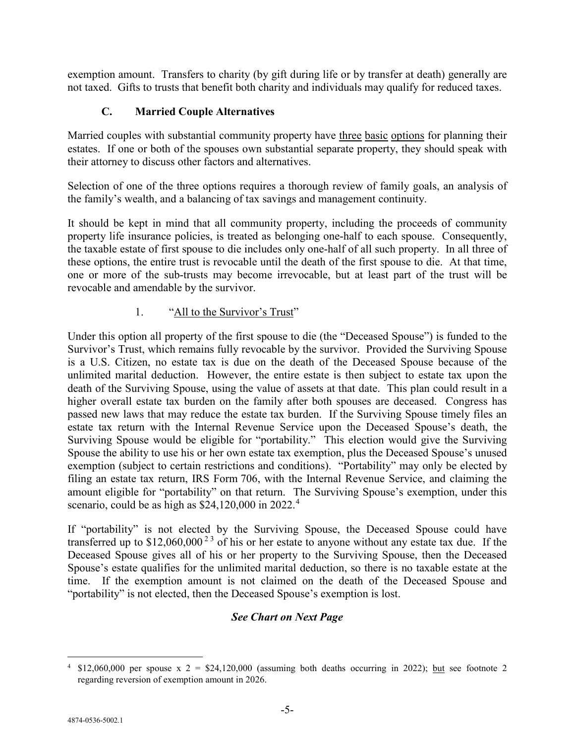exemption amount. Transfers to charity (by gift during life or by transfer at death) generally are not taxed. Gifts to trusts that benefit both charity and individuals may qualify for reduced taxes.

## **C. Married Couple Alternatives**

Married couples with substantial community property have three basic options for planning their estates. If one or both of the spouses own substantial separate property, they should speak with their attorney to discuss other factors and alternatives.

Selection of one of the three options requires a thorough review of family goals, an analysis of the family's wealth, and a balancing of tax savings and management continuity.

It should be kept in mind that all community property, including the proceeds of community property life insurance policies, is treated as belonging one-half to each spouse. Consequently, the taxable estate of first spouse to die includes only one-half of all such property. In all three of these options, the entire trust is revocable until the death of the first spouse to die. At that time, one or more of the sub-trusts may become irrevocable, but at least part of the trust will be revocable and amendable by the survivor.

## 1. "All to the Survivor's Trust"

Under this option all property of the first spouse to die (the "Deceased Spouse") is funded to the Survivor's Trust, which remains fully revocable by the survivor. Provided the Surviving Spouse is a U.S. Citizen, no estate tax is due on the death of the Deceased Spouse because of the unlimited marital deduction. However, the entire estate is then subject to estate tax upon the death of the Surviving Spouse, using the value of assets at that date. This plan could result in a higher overall estate tax burden on the family after both spouses are deceased. Congress has passed new laws that may reduce the estate tax burden. If the Surviving Spouse timely files an estate tax return with the Internal Revenue Service upon the Deceased Spouse's death, the Surviving Spouse would be eligible for "portability." This election would give the Surviving Spouse the ability to use his or her own estate tax exemption, plus the Deceased Spouse's unused exemption (subject to certain restrictions and conditions). "Portability" may only be elected by filing an estate tax return, IRS Form 706, with the Internal Revenue Service, and claiming the amount eligible for "portability" on that return. The Surviving Spouse's exemption, under this scenario, could be as high as \$2[4](#page-4-0),120,000 in 2022.<sup>4</sup>

If "portability" is not elected by the Surviving Spouse, the Deceased Spouse could have transferred up to  $$12,060,000^{23}$  of his or her estate to anyone without any estate tax due. If the Deceased Spouse gives all of his or her property to the Surviving Spouse, then the Deceased Spouse's estate qualifies for the unlimited marital deduction, so there is no taxable estate at the time. If the exemption amount is not claimed on the death of the Deceased Spouse and "portability" is not elected, then the Deceased Spouse's exemption is lost.

# *See Chart on Next Page*

<span id="page-4-0"></span><sup>&</sup>lt;sup>4</sup> \$12,060,000 per spouse  $x = 2 = 24,120,000$  (assuming both deaths occurring in 2022); but see footnote 2 regarding reversion of exemption amount in 2026.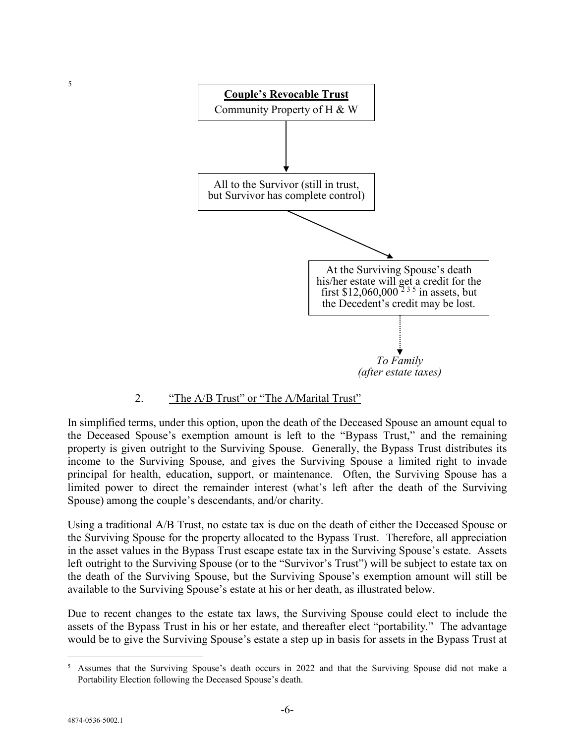

## 2. "The A/B Trust" or "The A/Marital Trust"

In simplified terms, under this option, upon the death of the Deceased Spouse an amount equal to the Deceased Spouse's exemption amount is left to the "Bypass Trust," and the remaining property is given outright to the Surviving Spouse. Generally, the Bypass Trust distributes its income to the Surviving Spouse, and gives the Surviving Spouse a limited right to invade principal for health, education, support, or maintenance. Often, the Surviving Spouse has a limited power to direct the remainder interest (what's left after the death of the Surviving Spouse) among the couple's descendants, and/or charity.

Using a traditional A/B Trust, no estate tax is due on the death of either the Deceased Spouse or the Surviving Spouse for the property allocated to the Bypass Trust. Therefore, all appreciation in the asset values in the Bypass Trust escape estate tax in the Surviving Spouse's estate. Assets left outright to the Surviving Spouse (or to the "Survivor's Trust") will be subject to estate tax on the death of the Surviving Spouse, but the Surviving Spouse's exemption amount will still be available to the Surviving Spouse's estate at his or her death, as illustrated below.

Due to recent changes to the estate tax laws, the Surviving Spouse could elect to include the assets of the Bypass Trust in his or her estate, and thereafter elect "portability." The advantage would be to give the Surviving Spouse's estate a step up in basis for assets in the Bypass Trust at

<span id="page-5-0"></span> <sup>5</sup> Assumes that the Surviving Spouse's death occurs in 2022 and that the Surviving Spouse did not make a Portability Election following the Deceased Spouse's death.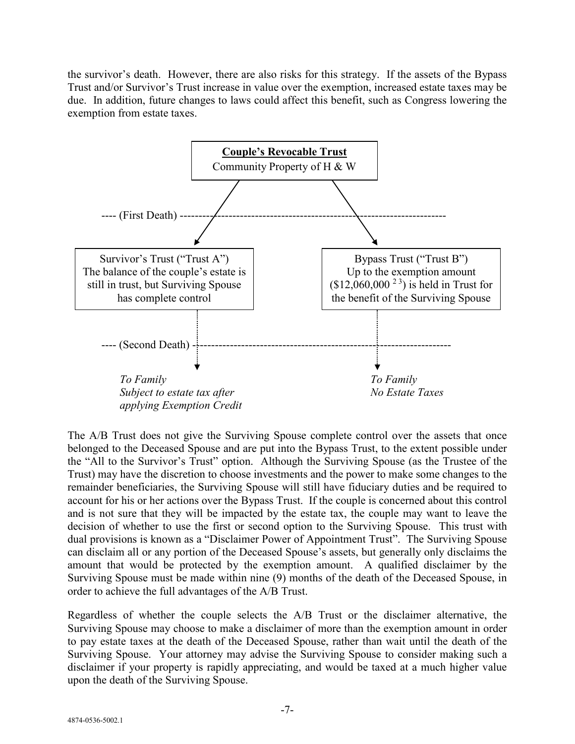the survivor's death. However, there are also risks for this strategy. If the assets of the Bypass Trust and/or Survivor's Trust increase in value over the exemption, increased estate taxes may be due. In addition, future changes to laws could affect this benefit, such as Congress lowering the exemption from estate taxes.



The A/B Trust does not give the Surviving Spouse complete control over the assets that once belonged to the Deceased Spouse and are put into the Bypass Trust, to the extent possible under the "All to the Survivor's Trust" option. Although the Surviving Spouse (as the Trustee of the Trust) may have the discretion to choose investments and the power to make some changes to the remainder beneficiaries, the Surviving Spouse will still have fiduciary duties and be required to account for his or her actions over the Bypass Trust. If the couple is concerned about this control and is not sure that they will be impacted by the estate tax, the couple may want to leave the decision of whether to use the first or second option to the Surviving Spouse. This trust with dual provisions is known as a "Disclaimer Power of Appointment Trust". The Surviving Spouse can disclaim all or any portion of the Deceased Spouse's assets, but generally only disclaims the amount that would be protected by the exemption amount. A qualified disclaimer by the Surviving Spouse must be made within nine (9) months of the death of the Deceased Spouse, in order to achieve the full advantages of the A/B Trust.

Regardless of whether the couple selects the A/B Trust or the disclaimer alternative, the Surviving Spouse may choose to make a disclaimer of more than the exemption amount in order to pay estate taxes at the death of the Deceased Spouse, rather than wait until the death of the Surviving Spouse. Your attorney may advise the Surviving Spouse to consider making such a disclaimer if your property is rapidly appreciating, and would be taxed at a much higher value upon the death of the Surviving Spouse.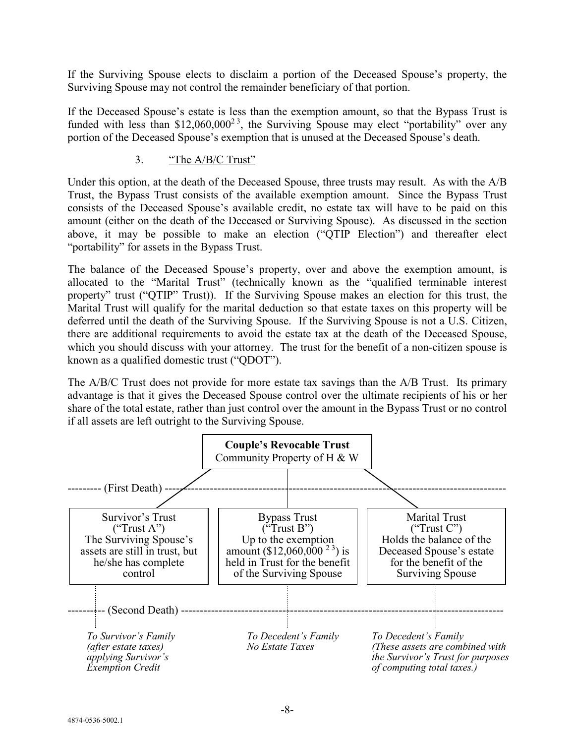If the Surviving Spouse elects to disclaim a portion of the Deceased Spouse's property, the Surviving Spouse may not control the remainder beneficiary of that portion.

If the Deceased Spouse's estate is less than the exemption amount, so that the Bypass Trust is funded with less than \$12,060,000<sup>23</sup>, the Surviving Spouse may elect "portability" over any portion of the Deceased Spouse's exemption that is unused at the Deceased Spouse's death.

#### 3. "The A/B/C Trust"

Under this option, at the death of the Deceased Spouse, three trusts may result. As with the A/B Trust, the Bypass Trust consists of the available exemption amount. Since the Bypass Trust consists of the Deceased Spouse's available credit, no estate tax will have to be paid on this amount (either on the death of the Deceased or Surviving Spouse). As discussed in the section above, it may be possible to make an election ("QTIP Election") and thereafter elect "portability" for assets in the Bypass Trust.

The balance of the Deceased Spouse's property, over and above the exemption amount, is allocated to the "Marital Trust" (technically known as the "qualified terminable interest property" trust ("QTIP" Trust)). If the Surviving Spouse makes an election for this trust, the Marital Trust will qualify for the marital deduction so that estate taxes on this property will be deferred until the death of the Surviving Spouse. If the Surviving Spouse is not a U.S. Citizen, there are additional requirements to avoid the estate tax at the death of the Deceased Spouse, which you should discuss with your attorney. The trust for the benefit of a non-citizen spouse is known as a qualified domestic trust ("QDOT").

The A/B/C Trust does not provide for more estate tax savings than the A/B Trust. Its primary advantage is that it gives the Deceased Spouse control over the ultimate recipients of his or her share of the total estate, rather than just control over the amount in the Bypass Trust or no control if all assets are left outright to the Surviving Spouse.

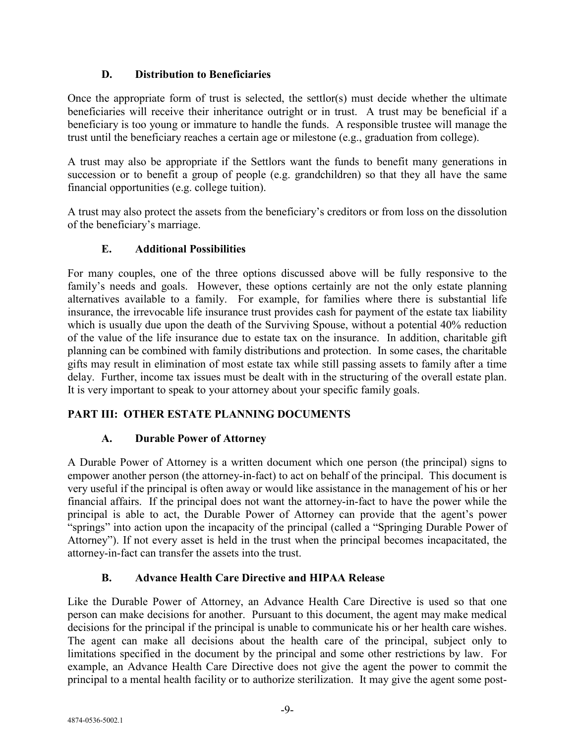## **D. Distribution to Beneficiaries**

Once the appropriate form of trust is selected, the settlor(s) must decide whether the ultimate beneficiaries will receive their inheritance outright or in trust. A trust may be beneficial if a beneficiary is too young or immature to handle the funds. A responsible trustee will manage the trust until the beneficiary reaches a certain age or milestone (e.g., graduation from college).

A trust may also be appropriate if the Settlors want the funds to benefit many generations in succession or to benefit a group of people (e.g. grandchildren) so that they all have the same financial opportunities (e.g. college tuition).

A trust may also protect the assets from the beneficiary's creditors or from loss on the dissolution of the beneficiary's marriage.

# **E. Additional Possibilities**

For many couples, one of the three options discussed above will be fully responsive to the family's needs and goals. However, these options certainly are not the only estate planning alternatives available to a family. For example, for families where there is substantial life insurance, the irrevocable life insurance trust provides cash for payment of the estate tax liability which is usually due upon the death of the Surviving Spouse, without a potential 40% reduction of the value of the life insurance due to estate tax on the insurance. In addition, charitable gift planning can be combined with family distributions and protection. In some cases, the charitable gifts may result in elimination of most estate tax while still passing assets to family after a time delay. Further, income tax issues must be dealt with in the structuring of the overall estate plan. It is very important to speak to your attorney about your specific family goals.

# **PART III: OTHER ESTATE PLANNING DOCUMENTS**

# **A. Durable Power of Attorney**

A Durable Power of Attorney is a written document which one person (the principal) signs to empower another person (the attorney-in-fact) to act on behalf of the principal. This document is very useful if the principal is often away or would like assistance in the management of his or her financial affairs. If the principal does not want the attorney-in-fact to have the power while the principal is able to act, the Durable Power of Attorney can provide that the agent's power "springs" into action upon the incapacity of the principal (called a "Springing Durable Power of Attorney"). If not every asset is held in the trust when the principal becomes incapacitated, the attorney-in-fact can transfer the assets into the trust.

# **B. Advance Health Care Directive and HIPAA Release**

Like the Durable Power of Attorney, an Advance Health Care Directive is used so that one person can make decisions for another. Pursuant to this document, the agent may make medical decisions for the principal if the principal is unable to communicate his or her health care wishes. The agent can make all decisions about the health care of the principal, subject only to limitations specified in the document by the principal and some other restrictions by law. For example, an Advance Health Care Directive does not give the agent the power to commit the principal to a mental health facility or to authorize sterilization. It may give the agent some post